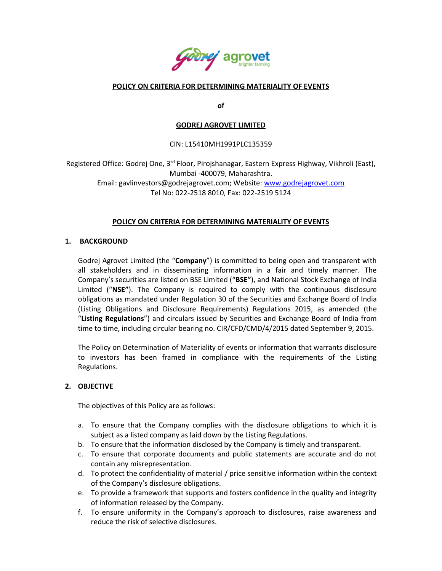

## **POLICY ON CRITERIA FOR DETERMINING MATERIALITY OF EVENTS**

**of**

### **GODREJ AGROVET LIMITED**

## CIN: L15410MH1991PLC135359

Registered Office: Godrej One, 3<sup>rd</sup> Floor, Pirojshanagar, Eastern Express Highway, Vikhroli (East), Mumbai -400079, Maharashtra. Email: gavlinvestors@godrejagrovet.com; Website: [www.godrejagrovet.com](http://www.godrejagrovet.com/) Tel No: 022-2518 8010, Fax: 022-2519 5124

## **POLICY ON CRITERIA FOR DETERMINING MATERIALITY OF EVENTS**

## **1. BACKGROUND**

Godrej Agrovet Limited (the "**Company**") is committed to being open and transparent with all stakeholders and in disseminating information in a fair and timely manner. The Company's securities are listed on BSE Limited ("**BSE"**), and National Stock Exchange of India Limited ("**NSE"**). The Company is required to comply with the continuous disclosure obligations as mandated under Regulation 30 of the Securities and Exchange Board of India (Listing Obligations and Disclosure Requirements) Regulations 2015, as amended (the "**Listing Regulations**") and circulars issued by Securities and Exchange Board of India from time to time, including circular bearing no. CIR/CFD/CMD/4/2015 dated September 9, 2015.

The Policy on Determination of Materiality of events or information that warrants disclosure to investors has been framed in compliance with the requirements of the Listing Regulations.

#### **2. OBJECTIVE**

The objectives of this Policy are as follows:

- a. To ensure that the Company complies with the disclosure obligations to which it is subject as a listed company as laid down by the Listing Regulations.
- b. To ensure that the information disclosed by the Company is timely and transparent.
- c. To ensure that corporate documents and public statements are accurate and do not contain any misrepresentation.
- d. To protect the confidentiality of material / price sensitive information within the context of the Company's disclosure obligations.
- e. To provide a framework that supports and fosters confidence in the quality and integrity of information released by the Company.
- f. To ensure uniformity in the Company's approach to disclosures, raise awareness and reduce the risk of selective disclosures.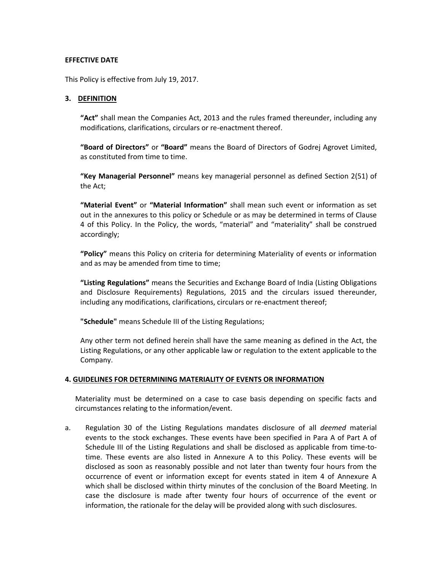## **EFFECTIVE DATE**

This Policy is effective from July 19, 2017.

## **3. DEFINITION**

**"Act"** shall mean the Companies Act, 2013 and the rules framed thereunder, including any modifications, clarifications, circulars or re-enactment thereof.

**"Board of Directors"** or **"Board"** means the Board of Directors of Godrej Agrovet Limited, as constituted from time to time.

**"Key Managerial Personnel"** means key managerial personnel as defined Section 2(51) of the Act;

**"Material Event"** or **"Material Information"** shall mean such event or information as set out in the annexures to this policy or Schedule or as may be determined in terms of Clause 4 of this Policy. In the Policy, the words, "material" and "materiality" shall be construed accordingly;

**"Policy"** means this Policy on criteria for determining Materiality of events or information and as may be amended from time to time;

**"Listing Regulations"** means the Securities and Exchange Board of India (Listing Obligations and Disclosure Requirements) Regulations, 2015 and the circulars issued thereunder, including any modifications, clarifications, circulars or re-enactment thereof;

**"Schedule"** means Schedule III of the Listing Regulations;

Any other term not defined herein shall have the same meaning as defined in the Act, the Listing Regulations, or any other applicable law or regulation to the extent applicable to the Company.

#### **4. GUIDELINES FOR DETERMINING MATERIALITY OF EVENTS OR INFORMATION**

Materiality must be determined on a case to case basis depending on specific facts and circumstances relating to the information/event.

a. Regulation 30 of the Listing Regulations mandates disclosure of all *deemed* material events to the stock exchanges. These events have been specified in Para A of Part A of Schedule III of the Listing Regulations and shall be disclosed as applicable from time-totime. These events are also listed in Annexure A to this Policy. These events will be disclosed as soon as reasonably possible and not later than twenty four hours from the occurrence of event or information except for events stated in item 4 of Annexure A which shall be disclosed within thirty minutes of the conclusion of the Board Meeting. In case the disclosure is made after twenty four hours of occurrence of the event or information, the rationale for the delay will be provided along with such disclosures.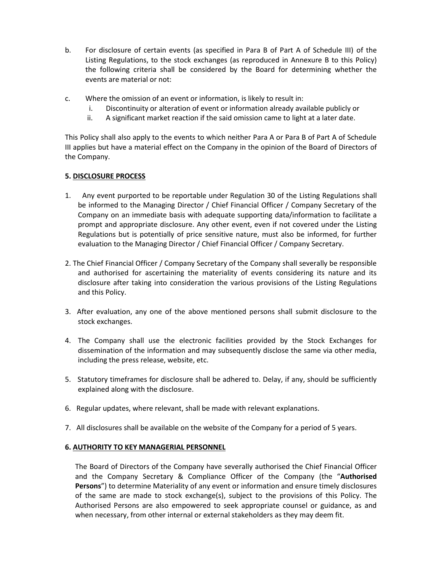- b. For disclosure of certain events (as specified in Para B of Part A of Schedule III) of the Listing Regulations, to the stock exchanges (as reproduced in Annexure B to this Policy) the following criteria shall be considered by the Board for determining whether the events are material or not:
- c. Where the omission of an event or information, is likely to result in:
	- i. Discontinuity or alteration of event or information already available publicly or
	- ii. A significant market reaction if the said omission came to light at a later date.

This Policy shall also apply to the events to which neither Para A or Para B of Part A of Schedule III applies but have a material effect on the Company in the opinion of the Board of Directors of the Company.

## **5. DISCLOSURE PROCESS**

- 1. Any event purported to be reportable under Regulation 30 of the Listing Regulations shall be informed to the Managing Director / Chief Financial Officer / Company Secretary of the Company on an immediate basis with adequate supporting data/information to facilitate a prompt and appropriate disclosure. Any other event, even if not covered under the Listing Regulations but is potentially of price sensitive nature, must also be informed, for further evaluation to the Managing Director / Chief Financial Officer / Company Secretary.
- 2. The Chief Financial Officer / Company Secretary of the Company shall severally be responsible and authorised for ascertaining the materiality of events considering its nature and its disclosure after taking into consideration the various provisions of the Listing Regulations and this Policy.
- 3. After evaluation, any one of the above mentioned persons shall submit disclosure to the stock exchanges.
- 4. The Company shall use the electronic facilities provided by the Stock Exchanges for dissemination of the information and may subsequently disclose the same via other media, including the press release, website, etc.
- 5. Statutory timeframes for disclosure shall be adhered to. Delay, if any, should be sufficiently explained along with the disclosure.
- 6. Regular updates, where relevant, shall be made with relevant explanations.
- 7. All disclosures shall be available on the website of the Company for a period of 5 years.

#### **6. AUTHORITY TO KEY MANAGERIAL PERSONNEL**

The Board of Directors of the Company have severally authorised the Chief Financial Officer and the Company Secretary & Compliance Officer of the Company (the "**Authorised Persons**") to determine Materiality of any event or information and ensure timely disclosures of the same are made to stock exchange(s), subject to the provisions of this Policy. The Authorised Persons are also empowered to seek appropriate counsel or guidance, as and when necessary, from other internal or external stakeholders as they may deem fit.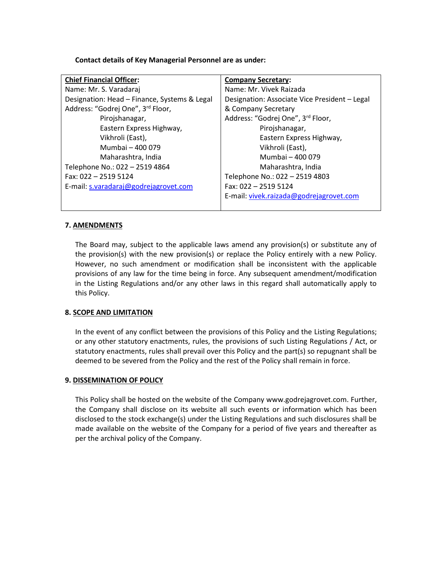**Contact details of Key Managerial Personnel are as under:**

| <b>Chief Financial Officer:</b>              | <b>Company Secretary:</b>                     |
|----------------------------------------------|-----------------------------------------------|
| Name: Mr. S. Varadaraj                       | Name: Mr. Vivek Raizada                       |
| Designation: Head - Finance, Systems & Legal | Designation: Associate Vice President - Legal |
| Address: "Godrej One", 3rd Floor,            | & Company Secretary                           |
| Pirojshanagar,                               | Address: "Godrej One", 3rd Floor,             |
| Eastern Express Highway,                     | Pirojshanagar,                                |
| Vikhroli (East),                             | Eastern Express Highway,                      |
| Mumbai - 400 079                             | Vikhroli (East),                              |
| Maharashtra, India                           | Mumbai - 400 079                              |
| Telephone No.: 022 - 2519 4864               | Maharashtra, India                            |
| Fax: 022 - 2519 5124                         | Telephone No.: 022 - 2519 4803                |
| E-mail: s.varadaraj@godrejagrovet.com        | Fax: 022 - 2519 5124                          |
|                                              | E-mail: vivek.raizada@godrejagrovet.com       |
|                                              |                                               |

## **7. AMENDMENTS**

The Board may, subject to the applicable laws amend any provision(s) or substitute any of the provision(s) with the new provision(s) or replace the Policy entirely with a new Policy. However, no such amendment or modification shall be inconsistent with the applicable provisions of any law for the time being in force. Any subsequent amendment/modification in the Listing Regulations and/or any other laws in this regard shall automatically apply to this Policy.

## **8. SCOPE AND LIMITATION**

In the event of any conflict between the provisions of this Policy and the Listing Regulations; or any other statutory enactments, rules, the provisions of such Listing Regulations / Act, or statutory enactments, rules shall prevail over this Policy and the part(s) so repugnant shall be deemed to be severed from the Policy and the rest of the Policy shall remain in force.

#### **9. DISSEMINATION OF POLICY**

This Policy shall be hosted on the website of the Company [www.godrejagrovet.com.](http://www.godrejagrovet.com/) Further, the Company shall disclose on its website all such events or information which has been disclosed to the stock exchange(s) under the Listing Regulations and such disclosures shall be made available on the website of the Company for a period of five years and thereafter as per the archival policy of the Company.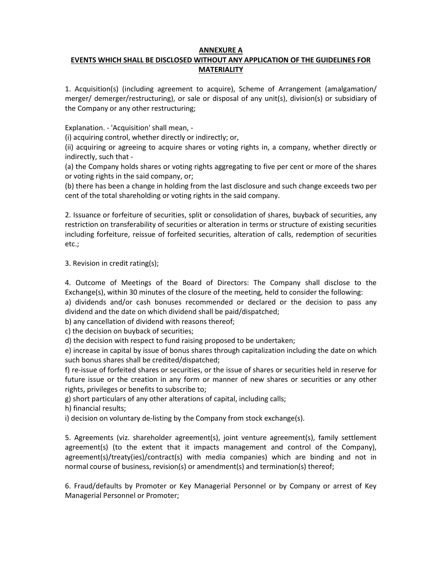## **ANNEXURE A**

# **EVENTS WHICH SHALL BE DISCLOSED WITHOUT ANY APPLICATION OF THE GUIDELINES FOR MATERIALITY**

1. Acquisition(s) (including agreement to acquire), Scheme of Arrangement (amalgamation/ merger/ demerger/restructuring), or sale or disposal of any unit(s), division(s) or subsidiary of the Company or any other restructuring;

Explanation. - 'Acquisition' shall mean, -

(i) acquiring control, whether directly or indirectly; or,

(ii) acquiring or agreeing to acquire shares or voting rights in, a company, whether directly or indirectly, such that -

(a) the Company holds shares or voting rights aggregating to five per cent or more of the shares or voting rights in the said company, or;

(b) there has been a change in holding from the last disclosure and such change exceeds two per cent of the total shareholding or voting rights in the said company.

2. Issuance or forfeiture of securities, split or consolidation of shares, buyback of securities, any restriction on transferability of securities or alteration in terms or structure of existing securities including forfeiture, reissue of forfeited securities, alteration of calls, redemption of securities etc.;

3. Revision in credit rating(s);

4. Outcome of Meetings of the Board of Directors: The Company shall disclose to the Exchange(s), within 30 minutes of the closure of the meeting, held to consider the following:

a) dividends and/or cash bonuses recommended or declared or the decision to pass any dividend and the date on which dividend shall be paid/dispatched;

b) any cancellation of dividend with reasons thereof;

c) the decision on buyback of securities;

d) the decision with respect to fund raising proposed to be undertaken;

e) increase in capital by issue of bonus shares through capitalization including the date on which such bonus shares shall be credited/dispatched;

f) re-issue of forfeited shares or securities, or the issue of shares or securities held in reserve for future issue or the creation in any form or manner of new shares or securities or any other rights, privileges or benefits to subscribe to;

g) short particulars of any other alterations of capital, including calls;

h) financial results;

i) decision on voluntary de-listing by the Company from stock exchange(s).

5. Agreements (viz. shareholder agreement(s), joint venture agreement(s), family settlement agreement(s) (to the extent that it impacts management and control of the Company), agreement(s)/treaty(ies)/contract(s) with media companies) which are binding and not in normal course of business, revision(s) or amendment(s) and termination(s) thereof;

6. Fraud/defaults by Promoter or Key Managerial Personnel or by Company or arrest of Key Managerial Personnel or Promoter;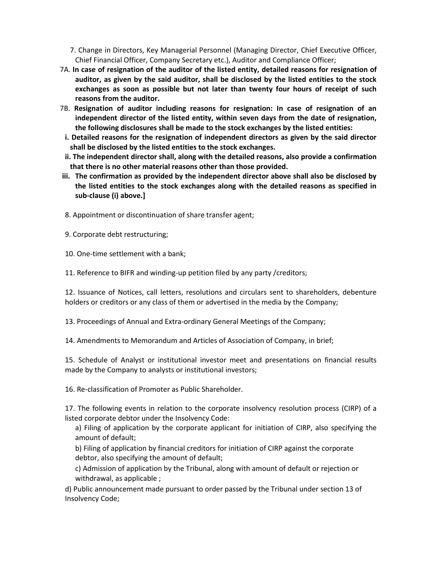7. Change in Directors, Key Managerial Personnel (Managing Director, Chief Executive Officer, Chief Financial Officer, Company Secretary etc.), Auditor and Compliance Officer;

- 7A. **In case of resignation of the auditor of the listed entity, detailed reasons for resignation of auditor, as given by the said auditor, shall be disclosed by the listed entities to the stock exchanges as soon as possible but not later than twenty four hours of receipt of such reasons from the auditor.**
- 7B. **Resignation of auditor including reasons for resignation: In case of resignation of an independent director of the listed entity, within seven days from the date of resignation, the following disclosures shall be made to the stock exchanges by the listed entities:**
- **i. Detailed reasons for the resignation of independent directors as given by the said director shall be disclosed by the listed entities to the stock exchanges.**
- **ii. The independent director shall, along with the detailed reasons, also provide a confirmation that there is no other material reasons other than those provided.**
- **iii. The confirmation as provided by the independent director above shall also be disclosed by the listed entities to the stock exchanges along with the detailed reasons as specified in sub-clause (i) above.]**
- 8. Appointment or discontinuation of share transfer agent;
- 9. Corporate debt restructuring;
- 10. One-time settlement with a bank;

11. Reference to BIFR and winding-up petition filed by any party /creditors;

12. Issuance of Notices, call letters, resolutions and circulars sent to shareholders, debenture holders or creditors or any class of them or advertised in the media by the Company;

13. Proceedings of Annual and Extra-ordinary General Meetings of the Company;

14. Amendments to Memorandum and Articles of Association of Company, in brief;

15. Schedule of Analyst or institutional investor meet and presentations on financial results made by the Company to analysts or institutional investors;

16. Re-classification of Promoter as Public Shareholder.

17. The following events in relation to the corporate insolvency resolution process (CIRP) of a listed corporate debtor under the Insolvency Code:

a) Filing of application by the corporate applicant for initiation of CIRP, also specifying the amount of default;

b) Filing of application by financial creditors for initiation of CIRP against the corporate debtor, also specifying the amount of default;

c) Admission of application by the Tribunal, along with amount of default or rejection or withdrawal, as applicable ;

d) Public announcement made pursuant to order passed by the Tribunal under section 13 of Insolvency Code;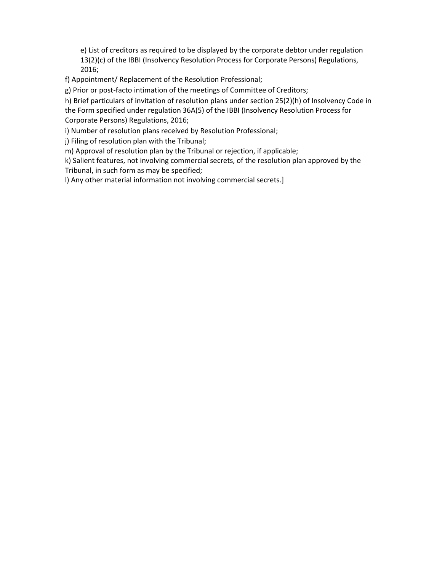e) List of creditors as required to be displayed by the corporate debtor under regulation 13(2)(c) of the IBBI (Insolvency Resolution Process for Corporate Persons) Regulations, 2016;

f) Appointment/ Replacement of the Resolution Professional;

g) Prior or post-facto intimation of the meetings of Committee of Creditors;

h) Brief particulars of invitation of resolution plans under section 25(2)(h) of Insolvency Code in the Form specified under regulation 36A(5) of the IBBI (Insolvency Resolution Process for Corporate Persons) Regulations, 2016;

i) Number of resolution plans received by Resolution Professional;

j) Filing of resolution plan with the Tribunal;

m) Approval of resolution plan by the Tribunal or rejection, if applicable;

k) Salient features, not involving commercial secrets, of the resolution plan approved by the Tribunal, in such form as may be specified;

l) Any other material information not involving commercial secrets.]